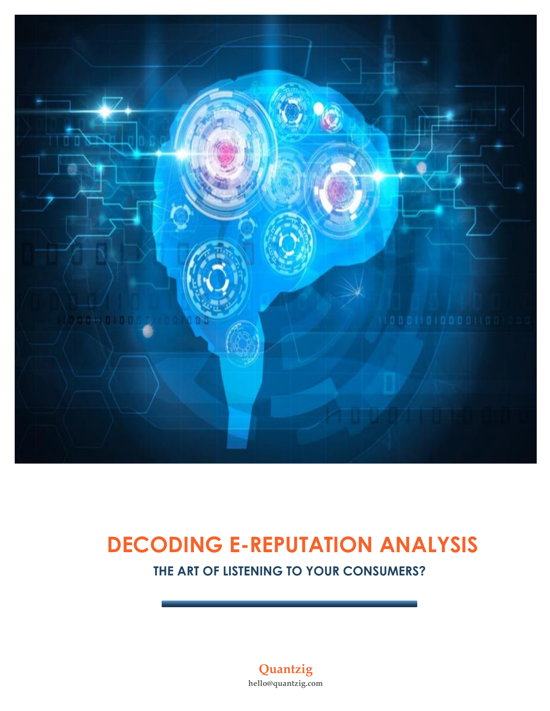

# **DECODING E-REPUTATION ANALYSIS**

 **THE ART OF LISTENING TO YOUR CONSUMERS?**

**Quantzig hello@quantzig.com**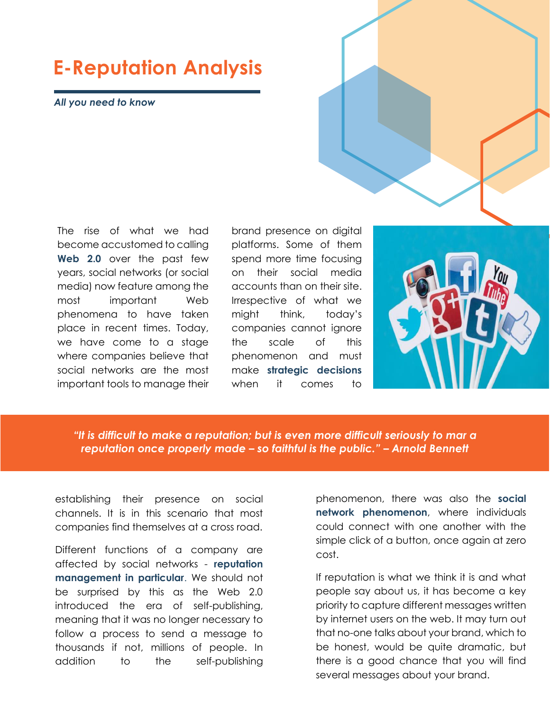### **E-Reputation Analysis**

*All you need to know*

The rise of what we had become accustomed to calling **Web 2.0** over the past few years, social networks (or social media) now feature among the most important Web phenomena to have taken place in recent times. Today, we have come to a stage where companies believe that social networks are the most important tools to manage their

brand presence on digital platforms. Some of them spend more time focusing on their social media accounts than on their site. Irrespective of what we might think, today's companies cannot ignore the scale of this phenomenon and must make **strategic decisions**  when it comes to



*"It is difficult to make a reputation; but is even more difficult seriously to mar a reputation once properly made – so faithful is the public." – Arnold Bennett*

establishing their presence on social channels. It is in this scenario that most companies find themselves at a cross road.

Different functions of a company are affected by social networks - **reputation management in particular**. We should not be surprised by this as the Web 2.0 introduced the era of self-publishing, meaning that it was no longer necessary to follow a process to send a message to thousands if not, millions of people. In addition to the self-publishing phenomenon, there was also the **social network phenomenon**, where individuals could connect with one another with the simple click of a button, once again at zero cost.

If reputation is what we think it is and what people say about us, it has become a key priority to capture different messages written by internet users on the web. It may turn out that no-one talks about your brand, which to be honest, would be quite dramatic, but there is a good chance that you will find several messages about your brand.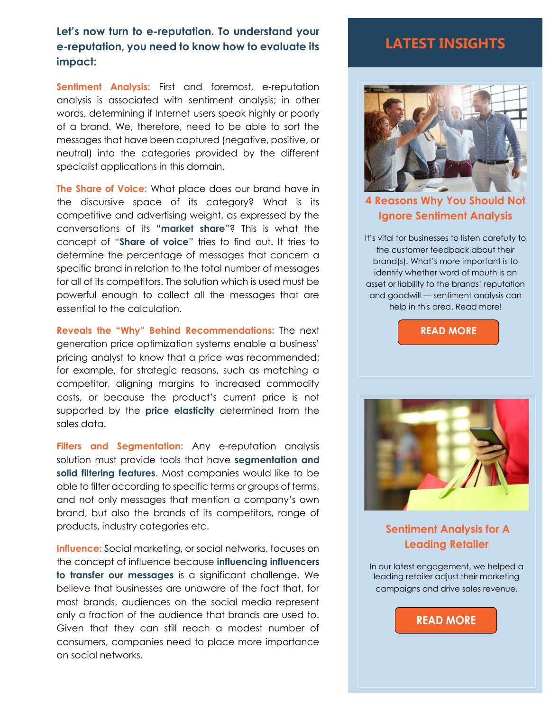#### **Let's now turn to e-reputation. To understand your e-reputation, you need to know how to evaluate its impact:**

**Sentiment Analysis:** First and foremost, e-reputation analysis is associated with sentiment analysis; in other words, determining if Internet users speak highly or poorly of a brand. We, therefore, need to be able to sort the messages that have been captured (negative, positive, or neutral) into the categories provided by the different specialist applications in this domain.

**The Share of Voice:** What place does our brand have in the discursive space of its category? What is its competitive and advertising weight, as expressed by the conversations of its "**market share**"? This is what the concept of "**Share of voice**" tries to find out. It tries to determine the percentage of messages that concern a specific brand in relation to the total number of messages for all of its competitors. The solution which is used must be powerful enough to collect all the messages that are essential to the calculation.

**Reveals the "Why" Behind Recommendations:** The next generation price optimization systems enable a business' pricing analyst to know that a price was recommended; for example, for strategic reasons, such as matching a competitor, aligning margins to increased commodity costs, or because the product's current price is not supported by the **price elasticity** determined from the sales data.

Filters and Segmentation: Any e-reputation analysis solution must provide tools that have **segmentation and solid filtering features**. Most companies would like to be able to filter according to specific terms or groups of terms, and not only messages that mention a company's own brand, but also the brands of its competitors, range of products, industry categories etc.

**Influence:** Social marketing, or social networks, focuses on the concept of influence because **influencing influencers to transfer our messages** is a significant challenge. We believe that businesses are unaware of the fact that, for most brands, audiences on the social media represent only a fraction of the audience that brands are used to. Given that they can still reach a modest number of consumers, companies need to place more importance on social networks.

### **LATEST INSIGHTS**



#### **[4 Reasons Why You Should Not](https://www.quantzig.com/blog/4-reasons-not-ignore-sentiment-analysis?utm_source=QZwhitepaper&utm_medium=QZ&utm_campaign=whitepaper)  [Ignore Sentiment Analysis](https://www.quantzig.com/blog/4-reasons-not-ignore-sentiment-analysis?utm_source=QZwhitepaper&utm_medium=QZ&utm_campaign=whitepaper)**

It's vital for businesses to listen carefully to the customer feedback about their brand(s). What's more important is to identify whether word of mouth is an asset or liability to the brands' reputation and goodwill — sentiment analysis can help in this area. Read more!





**[Sentiment Analysis for A](https://www.quantzig.com/content/retail-chain-sentiment-analysis?utm_source=QZwhitepaper&utm_medium=QZ&utm_campaign=whitepaper)  [Leading Retailer](https://www.quantzig.com/content/retail-chain-sentiment-analysis?utm_source=QZwhitepaper&utm_medium=QZ&utm_campaign=whitepaper)**

In our latest engagement, we helped a leading retailer adjust their marketing campaigns and drive sales revenue.